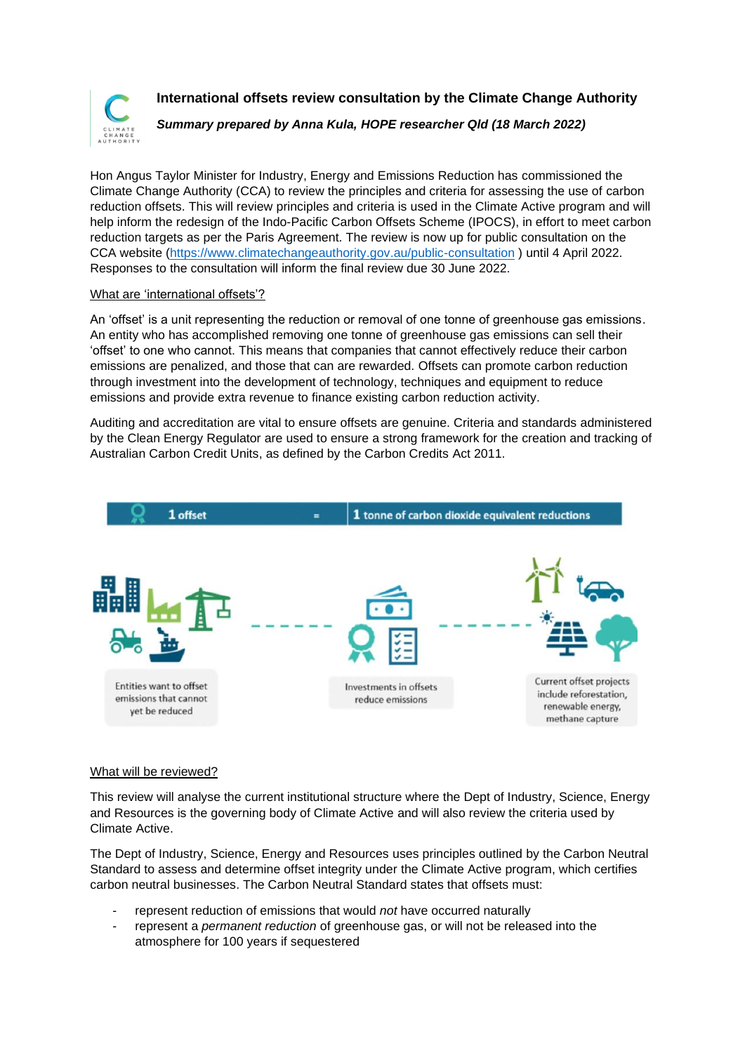

**International offsets review consultation by the Climate Change Authority**

*Summary prepared by Anna Kula, HOPE researcher Qld (18 March 2022)*

Hon Angus Taylor Minister for Industry, Energy and Emissions Reduction has commissioned the Climate Change Authority (CCA) to review the principles and criteria for assessing the use of carbon reduction offsets. This will review principles and criteria is used in the Climate Active program and will help inform the redesign of the Indo-Pacific Carbon Offsets Scheme (IPOCS), in effort to meet carbon reduction targets as per the Paris Agreement. The review is now up for public consultation on the CCA website [\(https://www.climatechangeauthority.gov.au/public-consultation](https://www.climatechangeauthority.gov.au/public-consultation) ) until 4 April 2022. Responses to the consultation will inform the final review due 30 June 2022.

## What are 'international offsets'?

An 'offset' is a unit representing the reduction or removal of one tonne of greenhouse gas emissions. An entity who has accomplished removing one tonne of greenhouse gas emissions can sell their 'offset' to one who cannot. This means that companies that cannot effectively reduce their carbon emissions are penalized, and those that can are rewarded. Offsets can promote carbon reduction through investment into the development of technology, techniques and equipment to reduce emissions and provide extra revenue to finance existing carbon reduction activity.

Auditing and accreditation are vital to ensure offsets are genuine. Criteria and standards administered by the Clean Energy Regulator are used to ensure a strong framework for the creation and tracking of Australian Carbon Credit Units, as defined by the Carbon Credits Act 2011.



## What will be reviewed?

This review will analyse the current institutional structure where the Dept of Industry, Science, Energy and Resources is the governing body of Climate Active and will also review the criteria used by Climate Active.

The Dept of Industry, Science, Energy and Resources uses principles outlined by the Carbon Neutral Standard to assess and determine offset integrity under the Climate Active program, which certifies carbon neutral businesses. The Carbon Neutral Standard states that offsets must:

- represent reduction of emissions that would *not* have occurred naturally
- represent a *permanent reduction* of greenhouse gas, or will not be released into the atmosphere for 100 years if sequestered